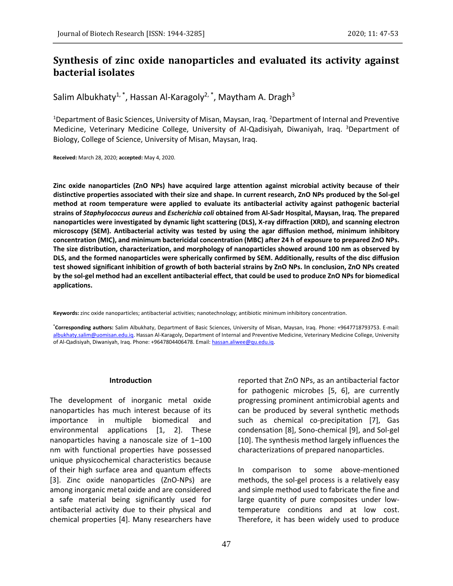# **Synthesis of zinc oxide nanoparticles and evaluated its activity against bacterial isolates**

Salim Albukhaty<sup>1,\*</sup>, Hassan Al-Karagoly<sup>2,\*</sup>, Maytham A. Dragh<sup>3</sup>

<sup>1</sup>Department of Basic Sciences, University of Misan, Maysan, Iraq. <sup>2</sup>Department of Internal and Preventive Medicine, Veterinary Medicine College, University of Al-Qadisiyah, Diwaniyah, Iraq. <sup>3</sup>Department of Biology, College of Science, University of Misan, Maysan, Iraq.

**Received:** March 28, 2020; **accepted:** May 4, 2020.

**Zinc oxide nanoparticles (ZnO NPs) have acquired large attention against microbial activity because of their distinctive properties associated with their size and shape. In current research, ZnO NPs produced by the Sol-gel method at room temperature were applied to evaluate its antibacterial activity against pathogenic bacterial strains of** *Staphylococcus aureus* **and** *Escherichia coli* **obtained from Al-Sadr Hospital, Maysan, Iraq. The prepared nanoparticles were investigated by dynamic light scattering (DLS), X-ray diffraction (XRD), and scanning electron microscopy (SEM). Antibacterial activity was tested by using the agar diffusion method, minimum inhibitory concentration (MIC), and minimum bactericidal concentration (MBC) after 24 h of exposure to prepared ZnO NPs. The size distribution, characterization, and morphology of nanoparticles showed around 100 nm as observed by DLS, and the formed nanoparticles were spherically confirmed by SEM. Additionally, results of the disc diffusion test showed significant inhibition of growth of both bacterial strains by ZnO NPs. In conclusion, ZnO NPs created by the sol-gel method had an excellent antibacterial effect, that could be used to produce ZnO NPs for biomedical applications.**

**Keywords:** zinc oxide nanoparticles; antibacterial activities; nanotechnology; antibiotic minimum inhibitory concentration.

**\*Corresponding authors:** Salim Albukhaty, Department of Basic Sciences, University of Misan, Maysan, Iraq. Phone: +9647718793753. E-mail: [albukhaty.salim@uomisan.edu.iq.](mailto:albukhaty.salim@uomisan.edu.iq) Hassan Al-Karagoly, Department of Internal and Preventive Medicine, Veterinary Medicine College, University of Al-Qadisiyah, Diwaniyah, Iraq. Phone: +9647804406478. Email: [hassan.aliwee@qu.edu.iq.](mailto:hassan.aliwee@qu.edu.iq)

#### **Introduction**

The development of inorganic metal oxide nanoparticles has much interest because of its importance in multiple biomedical and environmental applications [1, 2]. These nanoparticles having a nanoscale size of 1–100 nm with functional properties have possessed unique physicochemical characteristics because of their high surface area and quantum effects [3]. Zinc oxide nanoparticles (ZnO-NPs) are among inorganic metal oxide and are considered a safe material being significantly used for antibacterial activity due to their physical and chemical properties [4]. Many researchers have

reported that ZnO NPs, as an antibacterial factor for pathogenic microbes [5, 6], are currently progressing prominent antimicrobial agents and can be produced by several synthetic methods such as chemical co-precipitation [7], Gas condensation [8], Sono-chemical [9], and Sol-gel [10]. The synthesis method largely influences the characterizations of prepared nanoparticles.

In comparison to some above-mentioned methods, the sol-gel process is a relatively easy and simple method used to fabricate the fine and large quantity of pure composites under lowtemperature conditions and at low cost. Therefore, it has been widely used to produce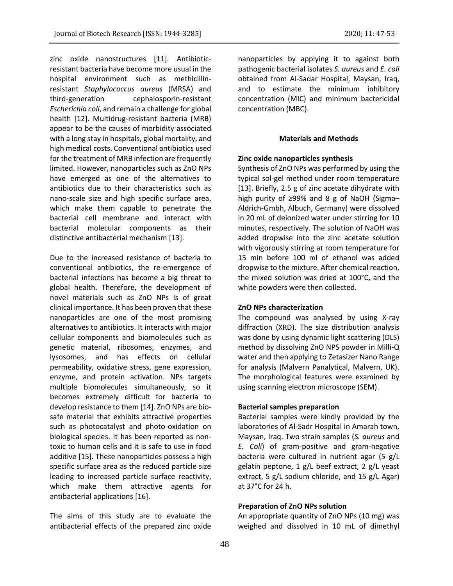zinc oxide nanostructures [11]. Antibioticresistant bacteria have become more usual in the hospital environment such as methicillinresistant *Staphylococcus aureus* (MRSA) and third-generation cephalosporin-resistant *Escherichia coli*, and remain a challenge for global health [12]. Multidrug-resistant bacteria (MRB) appear to be the causes of morbidity associated with a long stay in hospitals, global mortality, and high medical costs. Conventional antibiotics used for the treatment of MRB infection are frequently limited. However, nanoparticles such as ZnO NPs have emerged as one of the alternatives to antibiotics due to their characteristics such as nano-scale size and high specific surface area, which make them capable to penetrate the bacterial cell membrane and interact with bacterial molecular components as their distinctive antibacterial mechanism [13].

Due to the increased resistance of bacteria to conventional antibiotics, the re-emergence of bacterial infections has become a big threat to global health. Therefore, the development of novel materials such as ZnO NPs is of great clinical importance. It has been proven that these nanoparticles are one of the most promising alternatives to antibiotics. It interacts with major cellular components and biomolecules such as genetic material, ribosomes, enzymes, and lysosomes, and has effects on cellular permeability, oxidative stress, gene expression, enzyme, and protein activation. NPs targets multiple biomolecules simultaneously, so it becomes extremely difficult for bacteria to develop resistance to them [14]. ZnO NPs are biosafe material that exhibits attractive properties such as photocatalyst and photo-oxidation on biological species. It has been reported as nontoxic to human cells and it is safe to use in food additive [15]. These nanoparticles possess a high specific surface area as the reduced particle size leading to increased particle surface reactivity, which make them attractive agents for antibacterial applications [16].

The aims of this study are to evaluate the antibacterial effects of the prepared zinc oxide

nanoparticles by applying it to against both pathogenic bacterial isolates *S. aureus* and *E. coli* obtained from Al-Sadar Hospital, Maysan, Iraq, and to estimate the minimum inhibitory concentration (MIC) and minimum bactericidal concentration (MBC).

## **Materials and Methods**

#### **Zinc oxide nanoparticles synthesis**

Synthesis of ZnO NPs was performed by using the typical sol-gel method under room temperature [13]. Briefly, 2.5 g of zinc acetate dihydrate with high purity of ≥99% and 8 g of NaOH (Sigma– Aldrich-Gmbh, Albuch, Germany) were dissolved in 20 mL of deionized water under stirring for 10 minutes, respectively. The solution of NaOH was added dropwise into the zinc acetate solution with vigorously stirring at room temperature for 15 min before 100 ml of ethanol was added dropwise to the mixture. After chemical reaction, the mixed solution was dried at 100°C, and the white powders were then collected.

#### **ZnO NPs characterization**

The compound was analysed by using X-ray diffraction (XRD). The size distribution analysis was done by using dynamic light scattering (DLS) method by dissolving ZnO NPS powder in Milli-Q water and then applying to Zetasizer Nano Range for analysis (Malvern Panalytical, Malvern, UK). The morphological features were examined by using scanning electron microscope (SEM).

# **Bacterial samples preparation**

Bacterial samples were kindly provided by the laboratories of Al-Sadr Hospital in Amarah town, Maysan, Iraq. Two strain samples (*S. aureus* and *E. Coli*) of gram-positive and gram-negative bacteria were cultured in nutrient agar (5 g/L gelatin peptone, 1 g/L beef extract, 2 g/L yeast extract, 5 g/L sodium chloride, and 15 g/L Agar) at 37°C for 24 h.

## **Preparation of ZnO NPs solution**

An appropriate quantity of ZnO NPs (10 mg) was weighed and dissolved in 10 mL of dimethyl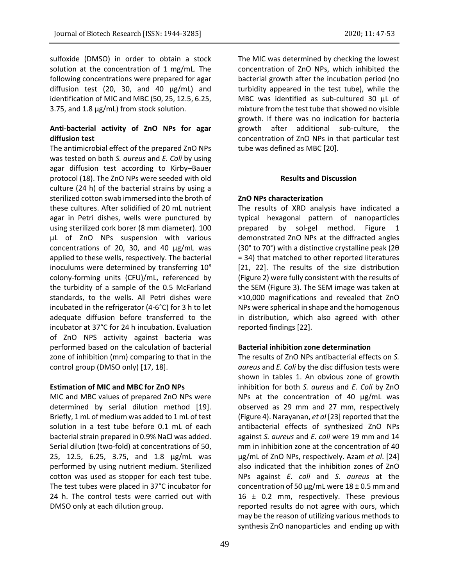sulfoxide (DMSO) in order to obtain a stock solution at the concentration of 1 mg/mL. The following concentrations were prepared for agar diffusion test (20, 30, and 40 μg/mL) and identification of MIC and MBC (50, 25, 12.5, 6.25, 3.75, and 1.8 μg/mL) from stock solution.

# **Anti-bacterial activity of ZnO NPs for agar diffusion test**

The antimicrobial effect of the prepared ZnO NPs was tested on both *S. aureus* and *E. Coli* by using agar diffusion test according to Kirby–Bauer protocol (18). The ZnO NPs were seeded with old culture (24 h) of the bacterial strains by using a sterilized cotton swab immersed into the broth of these cultures. After solidified of 20 mL nutrient agar in Petri dishes, wells were punctured by using sterilized cork borer (8 mm diameter). 100 μL of ZnO NPs suspension with various concentrations of 20, 30, and 40 μg/mL was applied to these wells, respectively. The bacterial inoculums were determined by transferring 10<sup>8</sup> colony-forming units (CFU)/mL, referenced by the turbidity of a sample of the 0.5 McFarland standards, to the wells. All Petri dishes were incubated in the refrigerator (4-6°C) for 3 h to let adequate diffusion before transferred to the incubator at 37°C for 24 h incubation. Evaluation of ZnO NPS activity against bacteria was performed based on the calculation of bacterial zone of inhibition (mm) comparing to that in the control group (DMSO only) [17, 18].

#### **Estimation of MIC and MBC for ZnO NPs**

MIC and MBC values of prepared ZnO NPs were determined by serial dilution method [19]. Briefly, 1 mL of medium was added to 1 mL of test solution in a test tube before 0.1 mL of each bacterial strain prepared in 0.9% NaCl was added. Serial dilution (two-fold) at concentrations of 50, 25, 12.5, 6.25, 3.75, and 1.8 μg/mL was performed by using nutrient medium. Sterilized cotton was used as stopper for each test tube. The test tubes were placed in 37°C incubator for 24 h. The control tests were carried out with DMSO only at each dilution group.

The MIC was determined by checking the lowest concentration of ZnO NPs, which inhibited the bacterial growth after the incubation period (no turbidity appeared in the test tube), while the MBC was identified as sub-cultured 30 μL of mixture from the test tube that showed no visible growth. If there was no indication for bacteria growth after additional sub-culture, the concentration of ZnO NPs in that particular test tube was defined as MBC [20].

#### **Results and Discussion**

## **ZnO NPs characterization**

The results of XRD analysis have indicated a typical hexagonal pattern of nanoparticles prepared by sol-gel method. Figure 1 demonstrated ZnO NPs at the diffracted angles (30° to 70°) with a distinctive crystalline peak (2θ = 34) that matched to other reported literatures [21, 22]. The results of the size distribution (Figure 2) were fully consistent with the results of the SEM (Figure 3). The SEM image was taken at ×10,000 magnifications and revealed that ZnO NPs were spherical in shape and the homogenous in distribution, which also agreed with other reported findings [22].

## **Bacterial inhibition zone determination**

The results of ZnO NPs antibacterial effects on *S. aureus* and *E. Coli* by the disc diffusion tests were shown in tables 1. An obvious zone of growth inhibition for both *S. aureus* and *E. Coli* by ZnO NPs at the concentration of 40 μg/mL was observed as 29 mm and 27 mm, respectively (Figure 4). Narayanan, *et al* [23] reported that the antibacterial effects of synthesized ZnO NPs against *S. aureus* and *E. coli* were 19 mm and 14 mm in inhibition zone at the concentration of 40 µg/mL of ZnO NPs, respectively. Azam *et al*. [24] also indicated that the inhibition zones of ZnO NPs against *E. coli* and *S. aureus* at the concentration of 50  $\mu$ g/mL were 18  $\pm$  0.5 mm and 16 ± 0.2 mm, respectively. These previous reported results do not agree with ours, which may be the reason of utilizing various methods to synthesis ZnO nanoparticles and ending up with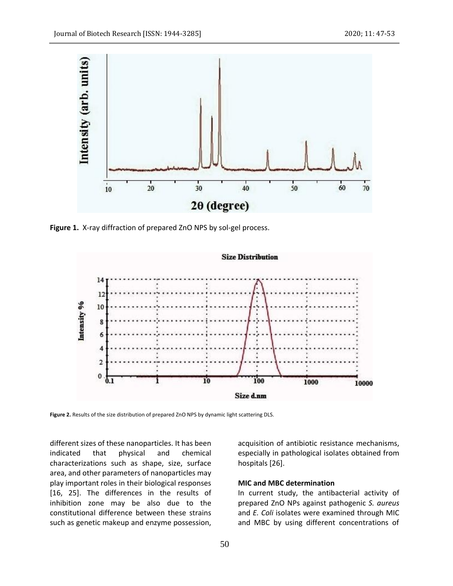

**Figure 1.** X-ray diffraction of prepared ZnO NPS by sol-gel process.



**Figure 2.** Results of the size distribution of prepared ZnO NPS by dynamic light scattering DLS.

different sizes of these nanoparticles. It has been indicated that physical and chemical characterizations such as shape, size, surface area, and other parameters of nanoparticles may play important roles in their biological responses [16, 25]. The differences in the results of inhibition zone may be also due to the constitutional difference between these strains such as genetic makeup and enzyme possession,

acquisition of antibiotic resistance mechanisms, especially in pathological isolates obtained from hospitals [26].

#### **MIC and MBC determination**

In current study, the antibacterial activity of prepared ZnO NPs against pathogenic *S. aureus* and *E. Coli* isolates were examined through MIC and MBC by using different concentrations of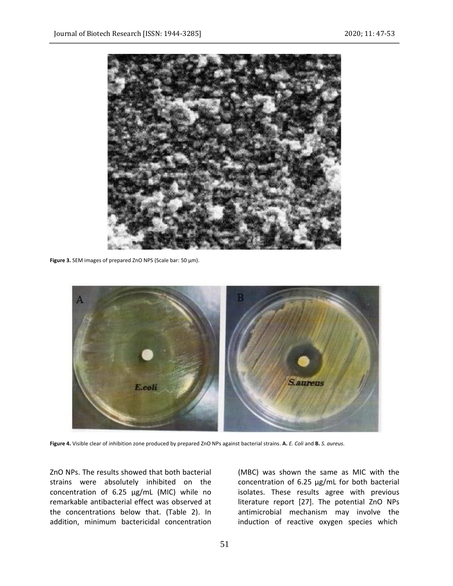

**Figure 3.** SEM images of prepared ZnO NPS (Scale bar: 50 μm).



**Figure 4.** Visible clear of inhibition zone produced by prepared ZnO NPs against bacterial strains. **A.** *E. Coli* and **B.** *S. aureus*.

ZnO NPs. The results showed that both bacterial strains were absolutely inhibited on the concentration of 6.25 μg/mL (MIC) while no remarkable antibacterial effect was observed at the concentrations below that. (Table 2). In addition, minimum bactericidal concentration

(MBC) was shown the same as MIC with the concentration of 6.25 μg/mL for both bacterial isolates. These results agree with previous literature report [27]. The potential ZnO NPs antimicrobial mechanism may involve the induction of reactive oxygen species which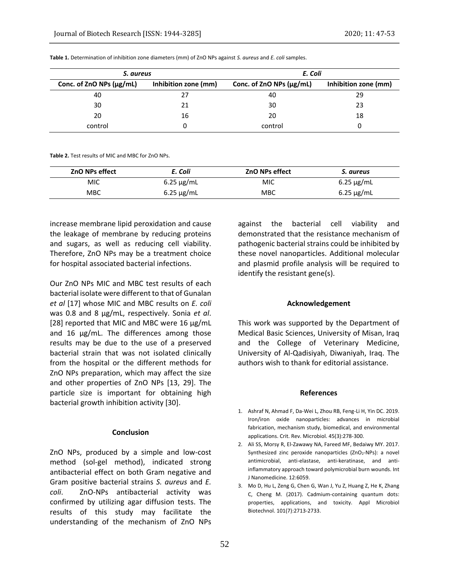| S. aureus                |                      | E. Coli                          |                      |
|--------------------------|----------------------|----------------------------------|----------------------|
| Conc. of ZnO NPs (µg/mL) | Inhibition zone (mm) | Conc. of $ZnO$ NPs ( $\mu$ g/mL) | Inhibition zone (mm) |
| 40                       |                      | 40                               | 29                   |
| 30                       | 21                   | 30                               | 23                   |
| 20                       | 16                   | 20                               | 18                   |
| control                  |                      | control                          |                      |

**Table 1.** Determination of inhibition zone diameters (mm) of ZnO NPs against *S. aureus* and *E. coli* samples.

**Table 2.** Test results of MIC and MBC for ZnO NPs.

| <b>ZnO NPs effect</b> | E. Coli         | <b>ZnO NPs effect</b> | S. aureus       |
|-----------------------|-----------------|-----------------------|-----------------|
| <b>MIC</b>            | $6.25 \mu g/mL$ | <b>MIC</b>            | $6.25 \mu g/mL$ |
| <b>MBC</b>            | $6.25 \mu g/mL$ | <b>MBC</b>            | $6.25 \mu g/mL$ |

increase membrane lipid peroxidation and cause the leakage of membrane by reducing proteins and sugars, as well as reducing cell viability. Therefore, ZnO NPs may be a treatment choice for hospital associated bacterial infections.

Our ZnO NPs MIC and MBC test results of each bacterial isolate were different to that of Gunalan *et al* [17] whose MIC and MBC results on *E. coli* was 0.8 and 8 μg/mL, respectively. Sonia *et al*. [28] reported that MIC and MBC were 16 μg/mL and 16 μg/mL. The differences among those results may be due to the use of a preserved bacterial strain that was not isolated clinically from the hospital or the different methods for ZnO NPs preparation, which may affect the size and other properties of ZnO NPs [13, 29]. The particle size is important for obtaining high bacterial growth inhibition activity [30].

#### **Conclusion**

ZnO NPs, produced by a simple and low-cost method (sol-gel method), indicated strong antibacterial effect on both Gram negative and Gram positive bacterial strains *S. aureus* and *E. coli*. ZnO-NPs antibacterial activity was confirmed by utilizing agar diffusion tests. The results of this study may facilitate the understanding of the mechanism of ZnO NPs

against the bacterial cell viability and demonstrated that the resistance mechanism of pathogenic bacterial strains could be inhibited by these novel nanoparticles. Additional molecular and plasmid profile analysis will be required to identify the resistant gene(s).

#### **Acknowledgement**

This work was supported by the Department of Medical Basic Sciences, University of Misan, Iraq and the College of Veterinary Medicine, University of Al-Qadisiyah, Diwaniyah, Iraq. The authors wish to thank for editorial assistance.

#### **References**

- 1. Ashraf N, Ahmad F, Da-Wei L, Zhou RB, Feng-Li H, Yin DC. 2019. Iron/iron oxide nanoparticles: advances in microbial fabrication, mechanism study, biomedical, and environmental applications. Crit. Rev. Microbiol. 45(3):278-300.
- 2. Ali SS, Morsy R, El-Zawawy NA, Fareed MF, Bedaiwy MY. 2017. Synthesized zinc peroxide nanoparticles (ZnO<sub>2</sub>-NPs): a novel antimicrobial, anti-elastase, anti-keratinase, and antiinflammatory approach toward polymicrobial burn wounds. Int J Nanomedicine. 12:6059.
- 3. Mo D, Hu L, Zeng G, Chen G, Wan J, Yu Z, Huang Z, He K, Zhang C, Cheng M. (2017). Cadmium-containing quantum dots: properties, applications, and toxicity. Appl Microbiol Biotechnol. 101(7):2713-2733.